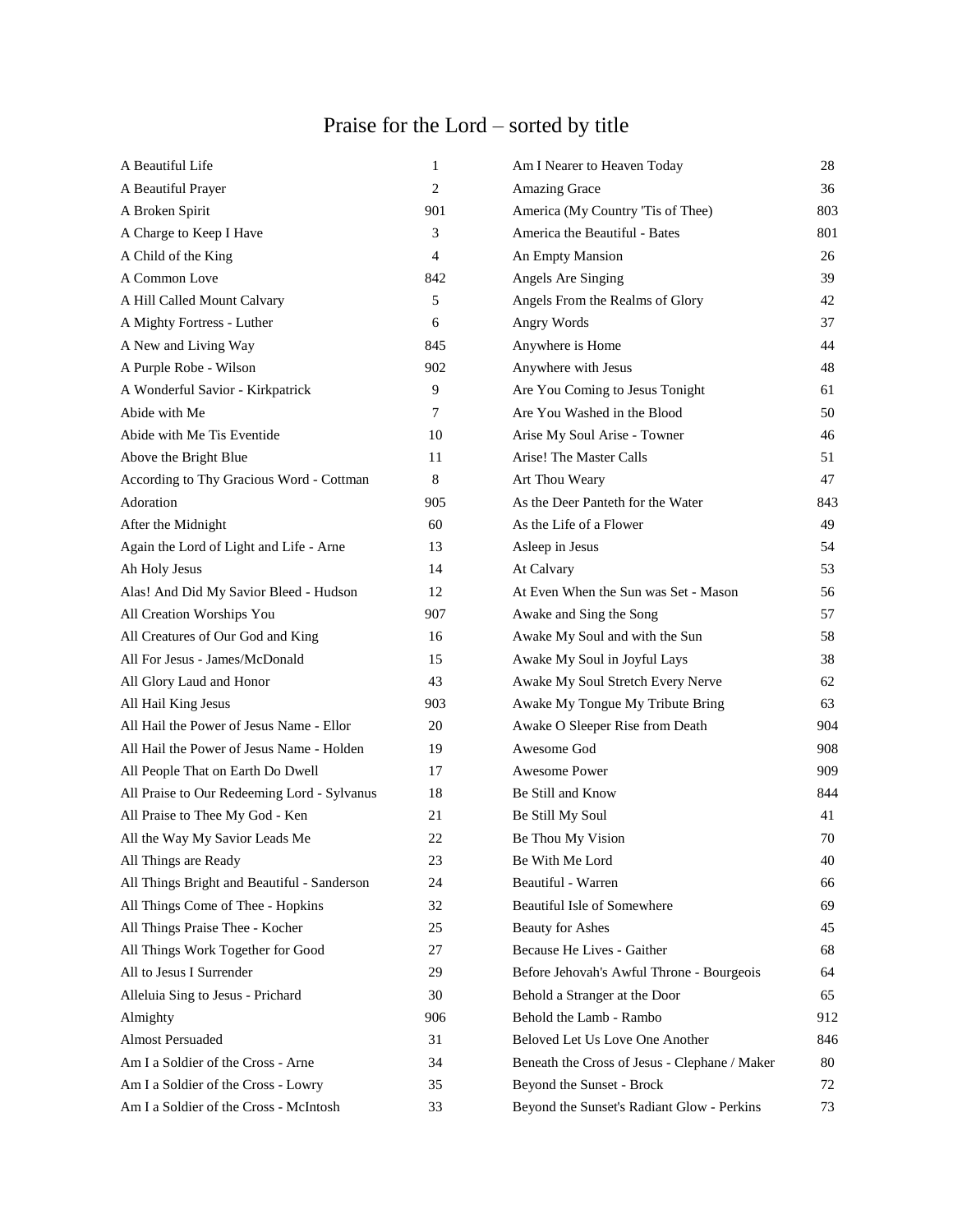## Praise for the Lord – sorted by title

| A Beautiful Life                            | 1              | Am I Nearer to Heaven Today                   | 28  |
|---------------------------------------------|----------------|-----------------------------------------------|-----|
| A Beautiful Prayer                          | $\overline{c}$ | Amazing Grace                                 | 36  |
| A Broken Spirit                             | 901            | America (My Country 'Tis of Thee)             | 803 |
| A Charge to Keep I Have                     | 3              | America the Beautiful - Bates                 | 801 |
| A Child of the King                         | 4              | An Empty Mansion                              | 26  |
| A Common Love                               | 842            | Angels Are Singing                            | 39  |
| A Hill Called Mount Calvary                 | 5              | Angels From the Realms of Glory               | 42  |
| A Mighty Fortress - Luther                  | 6              | Angry Words                                   | 37  |
| A New and Living Way                        | 845            | Anywhere is Home                              | 44  |
| A Purple Robe - Wilson                      | 902            | Anywhere with Jesus                           | 48  |
| A Wonderful Savior - Kirkpatrick            | 9              | Are You Coming to Jesus Tonight               | 61  |
| Abide with Me                               | $\tau$         | Are You Washed in the Blood                   | 50  |
| Abide with Me Tis Eventide                  | 10             | Arise My Soul Arise - Towner                  | 46  |
| Above the Bright Blue                       | 11             | Arise! The Master Calls                       | 51  |
| According to Thy Gracious Word - Cottman    | $\,8\,$        | Art Thou Weary                                | 47  |
| Adoration                                   | 905            | As the Deer Panteth for the Water             | 843 |
| After the Midnight                          | 60             | As the Life of a Flower                       | 49  |
| Again the Lord of Light and Life - Arne     | 13             | Asleep in Jesus                               | 54  |
| Ah Holy Jesus                               | 14             | At Calvary                                    | 53  |
| Alas! And Did My Savior Bleed - Hudson      | 12             | At Even When the Sun was Set - Mason          | 56  |
| All Creation Worships You                   | 907            | Awake and Sing the Song                       | 57  |
| All Creatures of Our God and King           | 16             | Awake My Soul and with the Sun                | 58  |
| All For Jesus - James/McDonald              | 15             | Awake My Soul in Joyful Lays                  | 38  |
| All Glory Laud and Honor                    | 43             | Awake My Soul Stretch Every Nerve             | 62  |
| All Hail King Jesus                         | 903            | Awake My Tongue My Tribute Bring              | 63  |
| All Hail the Power of Jesus Name - Ellor    | 20             | Awake O Sleeper Rise from Death               | 904 |
| All Hail the Power of Jesus Name - Holden   | 19             | Awesome God                                   | 908 |
| All People That on Earth Do Dwell           | 17             | Awesome Power                                 | 909 |
| All Praise to Our Redeeming Lord - Sylvanus | 18             | Be Still and Know                             | 844 |
| All Praise to Thee My God - Ken             | 21             | Be Still My Soul                              | 41  |
| All the Way My Savior Leads Me              | 22             | Be Thou My Vision                             | 70  |
| All Things are Ready                        | 23             | Be With Me Lord                               | 40  |
| All Things Bright and Beautiful - Sanderson | 24             | Beautiful - Warren                            | 66  |
| All Things Come of Thee - Hopkins           | 32             | Beautiful Isle of Somewhere                   | 69  |
| All Things Praise Thee - Kocher             | 25             | <b>Beauty for Ashes</b>                       | 45  |
| All Things Work Together for Good           | 27             | Because He Lives - Gaither                    | 68  |
| All to Jesus I Surrender                    | 29             | Before Jehovah's Awful Throne - Bourgeois     | 64  |
| Alleluia Sing to Jesus - Prichard           | 30             | Behold a Stranger at the Door                 | 65  |
| Almighty                                    | 906            | Behold the Lamb - Rambo                       | 912 |
| Almost Persuaded                            | 31             | Beloved Let Us Love One Another               | 846 |
| Am I a Soldier of the Cross - Arne          | 34             | Beneath the Cross of Jesus - Clephane / Maker | 80  |
| Am I a Soldier of the Cross - Lowry         | 35             | Beyond the Sunset - Brock                     | 72  |
| Am I a Soldier of the Cross - McIntosh      | 33             | Beyond the Sunset's Radiant Glow - Perkins    | 73  |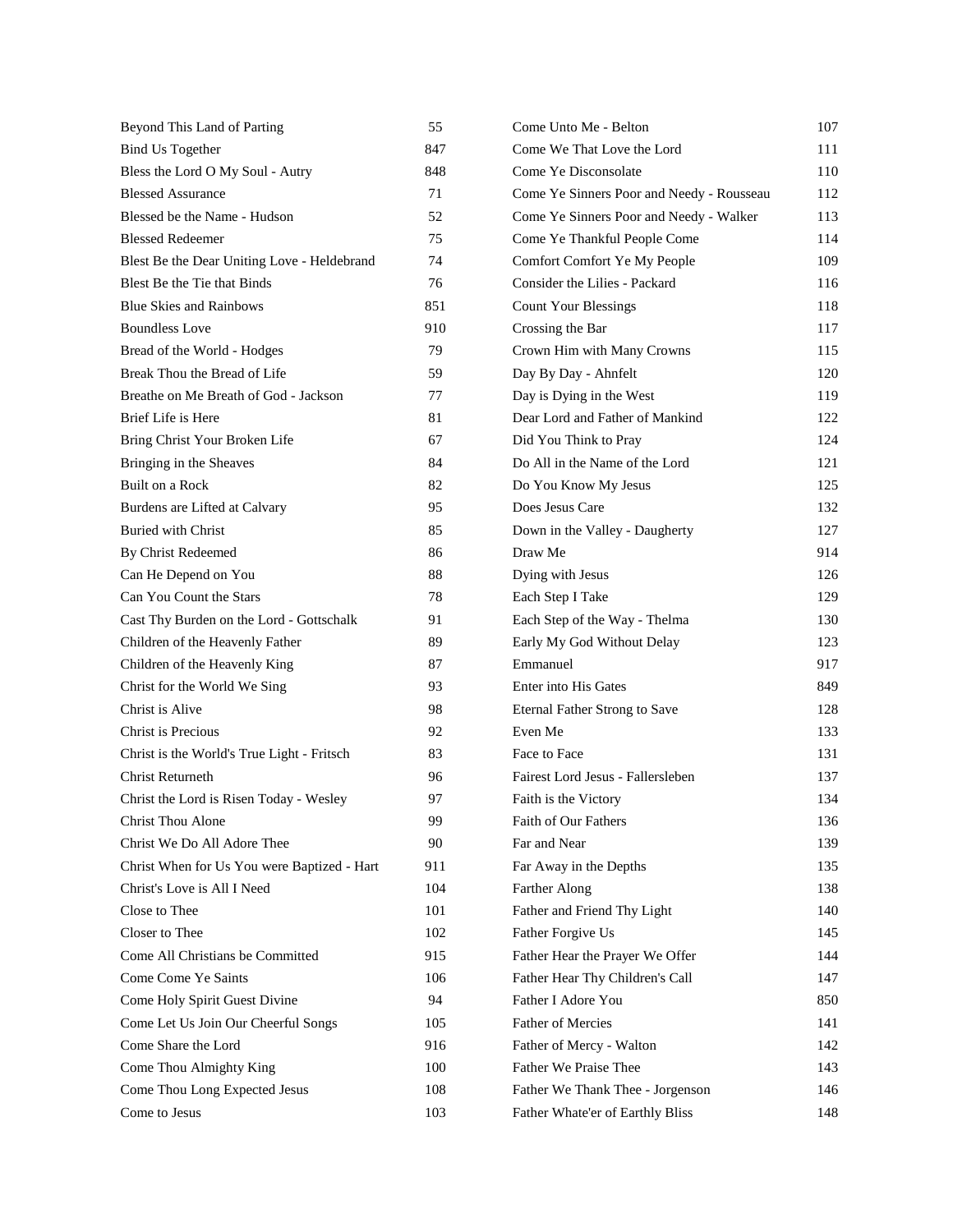| Beyond This Land of Parting                 | 55  | Come Unto Me - Belton                     | 107 |
|---------------------------------------------|-----|-------------------------------------------|-----|
| <b>Bind Us Together</b>                     | 847 | Come We That Love the Lord                | 111 |
| Bless the Lord O My Soul - Autry            | 848 | Come Ye Disconsolate                      | 110 |
| <b>Blessed Assurance</b>                    | 71  | Come Ye Sinners Poor and Needy - Rousseau | 112 |
| Blessed be the Name - Hudson                | 52  | Come Ye Sinners Poor and Needy - Walker   | 113 |
| <b>Blessed Redeemer</b>                     | 75  | Come Ye Thankful People Come              | 114 |
| Blest Be the Dear Uniting Love - Heldebrand | 74  | Comfort Comfort Ye My People              | 109 |
| Blest Be the Tie that Binds                 | 76  | Consider the Lilies - Packard             | 116 |
| <b>Blue Skies and Rainbows</b>              | 851 | <b>Count Your Blessings</b>               | 118 |
| <b>Boundless Love</b>                       | 910 | Crossing the Bar                          | 117 |
| Bread of the World - Hodges                 | 79  | Crown Him with Many Crowns                | 115 |
| Break Thou the Bread of Life                | 59  | Day By Day - Ahnfelt                      | 120 |
| Breathe on Me Breath of God - Jackson       | 77  | Day is Dying in the West                  | 119 |
| Brief Life is Here                          | 81  | Dear Lord and Father of Mankind           | 122 |
| Bring Christ Your Broken Life               | 67  | Did You Think to Pray                     | 124 |
| Bringing in the Sheaves                     | 84  | Do All in the Name of the Lord            | 121 |
| Built on a Rock                             | 82  | Do You Know My Jesus                      | 125 |
| Burdens are Lifted at Calvary               | 95  | Does Jesus Care                           | 132 |
| <b>Buried with Christ</b>                   | 85  | Down in the Valley - Daugherty            | 127 |
| By Christ Redeemed                          | 86  | Draw Me                                   | 914 |
| Can He Depend on You                        | 88  | Dying with Jesus                          | 126 |
| Can You Count the Stars                     | 78  | Each Step I Take                          | 129 |
| Cast Thy Burden on the Lord - Gottschalk    | 91  | Each Step of the Way - Thelma             | 130 |
| Children of the Heavenly Father             | 89  | Early My God Without Delay                | 123 |
| Children of the Heavenly King               | 87  | Emmanuel                                  | 917 |
| Christ for the World We Sing                | 93  | Enter into His Gates                      | 849 |
| Christ is Alive                             | 98  | <b>Eternal Father Strong to Save</b>      | 128 |
| Christ is Precious                          | 92  | Even Me                                   | 133 |
| Christ is the World's True Light - Fritsch  | 83  | Face to Face                              | 131 |
| Christ Returneth                            | 96  | Fairest Lord Jesus - Fallersleben         | 137 |
| Christ the Lord is Risen Today - Wesley     | 97  | Faith is the Victory                      | 134 |
| <b>Christ Thou Alone</b>                    | 99  | Faith of Our Fathers                      | 136 |
| Christ We Do All Adore Thee                 | 90  | Far and Near                              | 139 |
| Christ When for Us You were Baptized - Hart | 911 | Far Away in the Depths                    | 135 |
| Christ's Love is All I Need                 | 104 | <b>Farther Along</b>                      | 138 |
| Close to Thee                               | 101 | Father and Friend Thy Light               | 140 |
| Closer to Thee                              | 102 | Father Forgive Us                         | 145 |
| Come All Christians be Committed            | 915 | Father Hear the Prayer We Offer           | 144 |
| Come Come Ye Saints                         | 106 | Father Hear Thy Children's Call           | 147 |
| Come Holy Spirit Guest Divine               | 94  | Father I Adore You                        | 850 |
| Come Let Us Join Our Cheerful Songs         | 105 | <b>Father of Mercies</b>                  | 141 |
| Come Share the Lord                         | 916 | Father of Mercy - Walton                  | 142 |
| Come Thou Almighty King                     | 100 | Father We Praise Thee                     | 143 |
| Come Thou Long Expected Jesus               | 108 | Father We Thank Thee - Jorgenson          | 146 |
| Come to Jesus                               | 103 | Father Whate'er of Earthly Bliss          | 148 |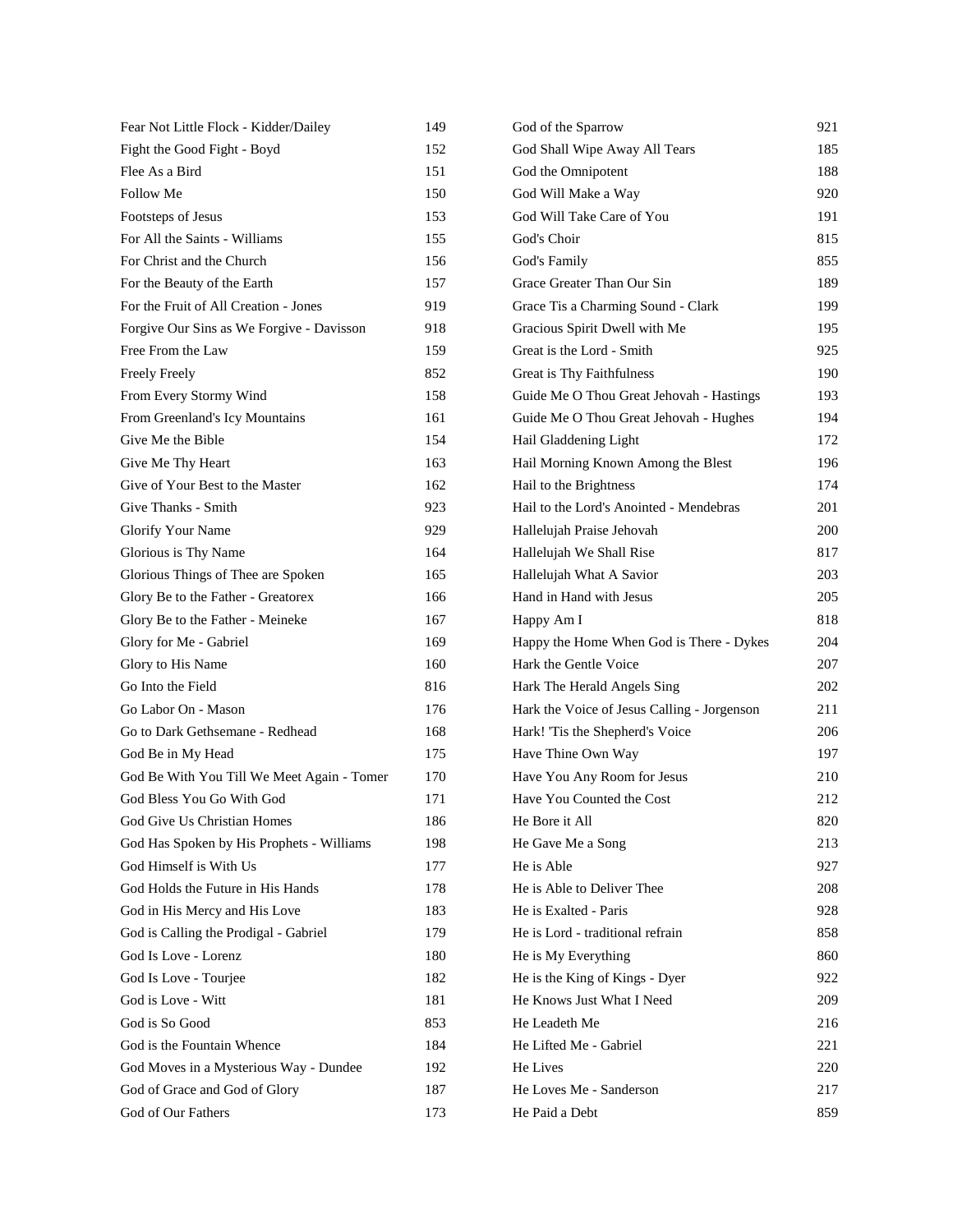| Fear Not Little Flock - Kidder/Dailey      | 149 | God of the Sparrow                          | 921 |
|--------------------------------------------|-----|---------------------------------------------|-----|
| Fight the Good Fight - Boyd                | 152 | God Shall Wipe Away All Tears               | 185 |
| Flee As a Bird                             | 151 | God the Omnipotent                          | 188 |
| <b>Follow Me</b>                           | 150 | God Will Make a Way                         | 920 |
| Footsteps of Jesus                         | 153 | God Will Take Care of You                   | 191 |
| For All the Saints - Williams              | 155 | God's Choir                                 | 815 |
| For Christ and the Church                  | 156 | God's Family                                | 855 |
| For the Beauty of the Earth                | 157 | Grace Greater Than Our Sin                  | 189 |
| For the Fruit of All Creation - Jones      | 919 | Grace Tis a Charming Sound - Clark          | 199 |
| Forgive Our Sins as We Forgive - Davisson  | 918 | Gracious Spirit Dwell with Me               | 195 |
| Free From the Law                          | 159 | Great is the Lord - Smith                   | 925 |
| Freely Freely                              | 852 | Great is Thy Faithfulness                   | 190 |
| From Every Stormy Wind                     | 158 | Guide Me O Thou Great Jehovah - Hastings    | 193 |
| From Greenland's Icy Mountains             | 161 | Guide Me O Thou Great Jehovah - Hughes      | 194 |
| Give Me the Bible                          | 154 | Hail Gladdening Light                       | 172 |
| Give Me Thy Heart                          | 163 | Hail Morning Known Among the Blest          | 196 |
| Give of Your Best to the Master            | 162 | Hail to the Brightness                      | 174 |
| Give Thanks - Smith                        | 923 | Hail to the Lord's Anointed - Mendebras     | 201 |
| Glorify Your Name                          | 929 | Hallelujah Praise Jehovah                   | 200 |
| Glorious is Thy Name                       | 164 | Hallelujah We Shall Rise                    | 817 |
| Glorious Things of Thee are Spoken         | 165 | Hallelujah What A Savior                    | 203 |
| Glory Be to the Father - Greatorex         | 166 | Hand in Hand with Jesus                     | 205 |
| Glory Be to the Father - Meineke           | 167 | Happy Am I                                  | 818 |
| Glory for Me - Gabriel                     | 169 | Happy the Home When God is There - Dykes    | 204 |
| Glory to His Name                          | 160 | Hark the Gentle Voice                       | 207 |
| Go Into the Field                          | 816 | Hark The Herald Angels Sing                 | 202 |
| Go Labor On - Mason                        | 176 | Hark the Voice of Jesus Calling - Jorgenson | 211 |
| Go to Dark Gethsemane - Redhead            | 168 | Hark! 'Tis the Shepherd's Voice             | 206 |
| God Be in My Head                          | 175 | Have Thine Own Way                          | 197 |
| God Be With You Till We Meet Again - Tomer | 170 | Have You Any Room for Jesus                 | 210 |
| God Bless You Go With God                  | 171 | Have You Counted the Cost                   | 212 |
| God Give Us Christian Homes                | 186 | He Bore it All                              | 820 |
| God Has Spoken by His Prophets - Williams  | 198 | He Gave Me a Song                           | 213 |
| God Himself is With Us                     | 177 | He is Able                                  | 927 |
| God Holds the Future in His Hands          | 178 | He is Able to Deliver Thee                  | 208 |
| God in His Mercy and His Love              | 183 | He is Exalted - Paris                       | 928 |
| God is Calling the Prodigal - Gabriel      | 179 | He is Lord - traditional refrain            | 858 |
| God Is Love - Lorenz                       | 180 | He is My Everything                         | 860 |
| God Is Love - Tourjee                      | 182 | He is the King of Kings - Dyer              | 922 |
| God is Love - Witt                         | 181 | He Knows Just What I Need                   | 209 |
| God is So Good                             | 853 | He Leadeth Me                               | 216 |
| God is the Fountain Whence                 | 184 | He Lifted Me - Gabriel                      | 221 |
| God Moves in a Mysterious Way - Dundee     | 192 | He Lives                                    | 220 |
| God of Grace and God of Glory              | 187 | He Loves Me - Sanderson                     | 217 |
| God of Our Fathers                         | 173 | He Paid a Debt                              | 859 |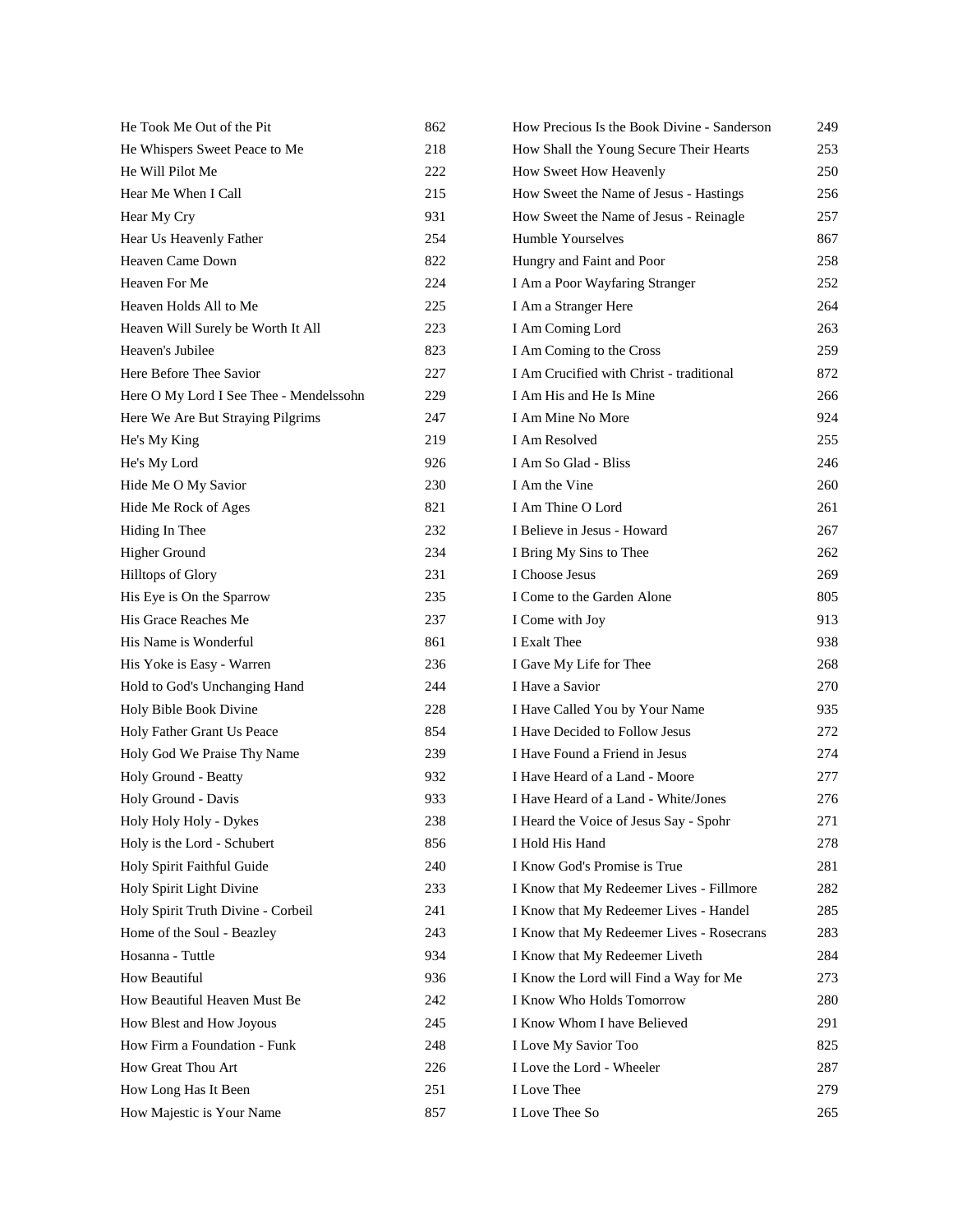| He Took Me Out of the Pit               | 862 | How Precious Is the Book Divine - Sanderson | 249 |
|-----------------------------------------|-----|---------------------------------------------|-----|
| He Whispers Sweet Peace to Me           | 218 | How Shall the Young Secure Their Hearts     | 253 |
| He Will Pilot Me                        | 222 | How Sweet How Heavenly                      | 250 |
| Hear Me When I Call                     | 215 | How Sweet the Name of Jesus - Hastings      | 256 |
| Hear My Cry                             | 931 | How Sweet the Name of Jesus - Reinagle      | 257 |
| Hear Us Heavenly Father                 | 254 | Humble Yourselves                           | 867 |
| Heaven Came Down                        | 822 | Hungry and Faint and Poor                   | 258 |
| Heaven For Me                           | 224 | I Am a Poor Wayfaring Stranger              | 252 |
| Heaven Holds All to Me                  | 225 | I Am a Stranger Here                        | 264 |
| Heaven Will Surely be Worth It All      | 223 | I Am Coming Lord                            | 263 |
| Heaven's Jubilee                        | 823 | I Am Coming to the Cross                    | 259 |
| Here Before Thee Savior                 | 227 | I Am Crucified with Christ - traditional    | 872 |
| Here O My Lord I See Thee - Mendelssohn | 229 | I Am His and He Is Mine                     | 266 |
| Here We Are But Straying Pilgrims       | 247 | I Am Mine No More                           | 924 |
| He's My King                            | 219 | I Am Resolved                               | 255 |
| He's My Lord                            | 926 | I Am So Glad - Bliss                        | 246 |
| Hide Me O My Savior                     | 230 | I Am the Vine                               | 260 |
| Hide Me Rock of Ages                    | 821 | I Am Thine O Lord                           | 261 |
| Hiding In Thee                          | 232 | I Believe in Jesus - Howard                 | 267 |
| <b>Higher Ground</b>                    | 234 | I Bring My Sins to Thee                     | 262 |
| <b>Hilltops of Glory</b>                | 231 | I Choose Jesus                              | 269 |
| His Eye is On the Sparrow               | 235 | I Come to the Garden Alone                  | 805 |
| His Grace Reaches Me                    | 237 | I Come with Joy                             | 913 |
| His Name is Wonderful                   | 861 | I Exalt Thee                                | 938 |
| His Yoke is Easy - Warren               | 236 | I Gave My Life for Thee                     | 268 |
| Hold to God's Unchanging Hand           | 244 | I Have a Savior                             | 270 |
| Holy Bible Book Divine                  | 228 | I Have Called You by Your Name              | 935 |
| Holy Father Grant Us Peace              | 854 | I Have Decided to Follow Jesus              | 272 |
| Holy God We Praise Thy Name             | 239 | I Have Found a Friend in Jesus              | 274 |
| Holy Ground - Beatty                    | 932 | I Have Heard of a Land - Moore              | 277 |
| Holy Ground - Davis                     | 933 | I Have Heard of a Land - White/Jones        | 276 |
| Holy Holy Holy - Dykes                  | 238 | I Heard the Voice of Jesus Say - Spohr      | 271 |
| Holy is the Lord - Schubert             | 856 | I Hold His Hand                             | 278 |
| Holy Spirit Faithful Guide              | 240 | I Know God's Promise is True                | 281 |
| Holy Spirit Light Divine                | 233 | I Know that My Redeemer Lives - Fillmore    | 282 |
| Holy Spirit Truth Divine - Corbeil      | 241 | I Know that My Redeemer Lives - Handel      | 285 |
| Home of the Soul - Beazley              | 243 | I Know that My Redeemer Lives - Rosecrans   | 283 |
| Hosanna - Tuttle                        | 934 | I Know that My Redeemer Liveth              | 284 |
| How Beautiful                           | 936 | I Know the Lord will Find a Way for Me      | 273 |
| How Beautiful Heaven Must Be            | 242 | I Know Who Holds Tomorrow                   | 280 |
| How Blest and How Joyous                | 245 | I Know Whom I have Believed                 | 291 |
| How Firm a Foundation - Funk            | 248 | I Love My Savior Too                        | 825 |
| How Great Thou Art                      | 226 | I Love the Lord - Wheeler                   | 287 |
| How Long Has It Been                    | 251 | I Love Thee                                 | 279 |
| How Majestic is Your Name               | 857 | I Love Thee So                              | 265 |
|                                         |     |                                             |     |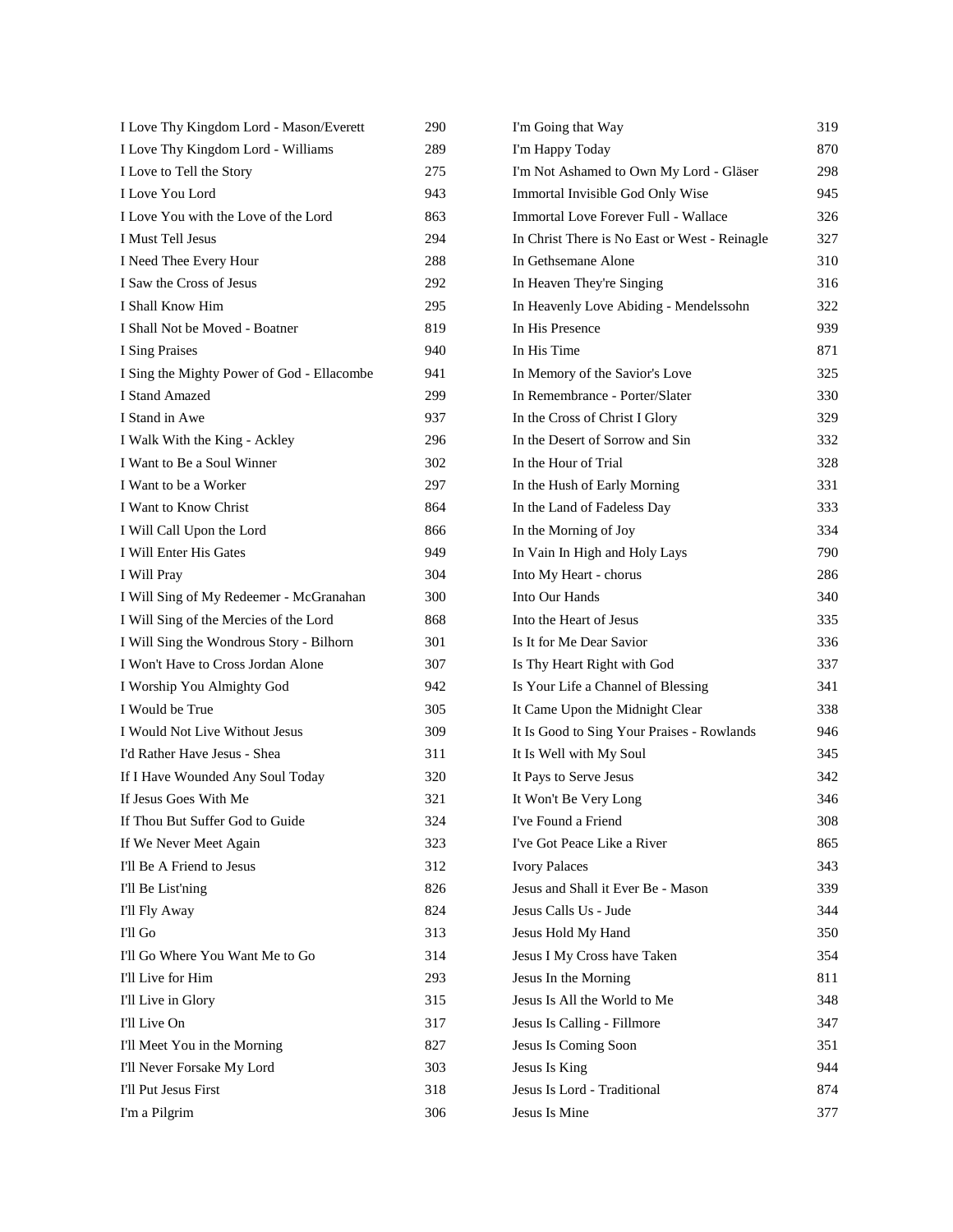| I Love Thy Kingdom Lord - Mason/Everett    | 290 | I'm Going that Way                            | 319 |
|--------------------------------------------|-----|-----------------------------------------------|-----|
| I Love Thy Kingdom Lord - Williams         | 289 | I'm Happy Today                               | 870 |
| I Love to Tell the Story                   | 275 | I'm Not Ashamed to Own My Lord - Gläser       | 298 |
| I Love You Lord                            | 943 | Immortal Invisible God Only Wise              | 945 |
| I Love You with the Love of the Lord       | 863 | Immortal Love Forever Full - Wallace          | 326 |
| I Must Tell Jesus                          | 294 | In Christ There is No East or West - Reinagle | 327 |
| I Need Thee Every Hour                     | 288 | In Gethsemane Alone                           | 310 |
| I Saw the Cross of Jesus                   | 292 | In Heaven They're Singing                     | 316 |
| I Shall Know Him                           | 295 | In Heavenly Love Abiding - Mendelssohn        | 322 |
| I Shall Not be Moved - Boatner             | 819 | In His Presence                               | 939 |
| I Sing Praises                             | 940 | In His Time                                   | 871 |
| I Sing the Mighty Power of God - Ellacombe | 941 | In Memory of the Savior's Love                | 325 |
| I Stand Amazed                             | 299 | In Remembrance - Porter/Slater                | 330 |
| I Stand in Awe                             | 937 | In the Cross of Christ I Glory                | 329 |
| I Walk With the King - Ackley              | 296 | In the Desert of Sorrow and Sin               | 332 |
| I Want to Be a Soul Winner                 | 302 | In the Hour of Trial                          | 328 |
| I Want to be a Worker                      | 297 | In the Hush of Early Morning                  | 331 |
| I Want to Know Christ                      | 864 | In the Land of Fadeless Day                   | 333 |
| I Will Call Upon the Lord                  | 866 | In the Morning of Joy                         | 334 |
| I Will Enter His Gates                     | 949 | In Vain In High and Holy Lays                 | 790 |
| I Will Pray                                | 304 | Into My Heart - chorus                        | 286 |
| I Will Sing of My Redeemer - McGranahan    | 300 | Into Our Hands                                | 340 |
| I Will Sing of the Mercies of the Lord     | 868 | Into the Heart of Jesus                       | 335 |
| I Will Sing the Wondrous Story - Bilhorn   | 301 | Is It for Me Dear Savior                      | 336 |
| I Won't Have to Cross Jordan Alone         | 307 | Is Thy Heart Right with God                   | 337 |
| I Worship You Almighty God                 | 942 | Is Your Life a Channel of Blessing            | 341 |
| I Would be True                            | 305 | It Came Upon the Midnight Clear               | 338 |
| I Would Not Live Without Jesus             | 309 | It Is Good to Sing Your Praises - Rowlands    | 946 |
| I'd Rather Have Jesus - Shea               | 311 | It Is Well with My Soul                       | 345 |
| If I Have Wounded Any Soul Today           | 320 | It Pays to Serve Jesus                        | 342 |
| If Jesus Goes With Me                      | 321 | It Won't Be Very Long                         | 346 |
| If Thou But Suffer God to Guide            | 324 | I've Found a Friend                           | 308 |
| If We Never Meet Again                     | 323 | I've Got Peace Like a River                   | 865 |
| I'll Be A Friend to Jesus                  | 312 | <b>Ivory Palaces</b>                          | 343 |
| I'll Be List'ning                          | 826 | Jesus and Shall it Ever Be - Mason            | 339 |
| I'll Fly Away                              | 824 | Jesus Calls Us - Jude                         | 344 |
| I'll Go                                    | 313 | Jesus Hold My Hand                            | 350 |
| I'll Go Where You Want Me to Go            | 314 | Jesus I My Cross have Taken                   | 354 |
| I'll Live for Him                          | 293 | Jesus In the Morning                          | 811 |
| I'll Live in Glory                         | 315 | Jesus Is All the World to Me                  | 348 |
| I'll Live On                               | 317 | Jesus Is Calling - Fillmore                   | 347 |
| I'll Meet You in the Morning               | 827 | Jesus Is Coming Soon                          | 351 |
| I'll Never Forsake My Lord                 | 303 | Jesus Is King                                 | 944 |
| I'll Put Jesus First                       | 318 | Jesus Is Lord - Traditional                   | 874 |
| I'm a Pilgrim                              | 306 | Jesus Is Mine                                 | 377 |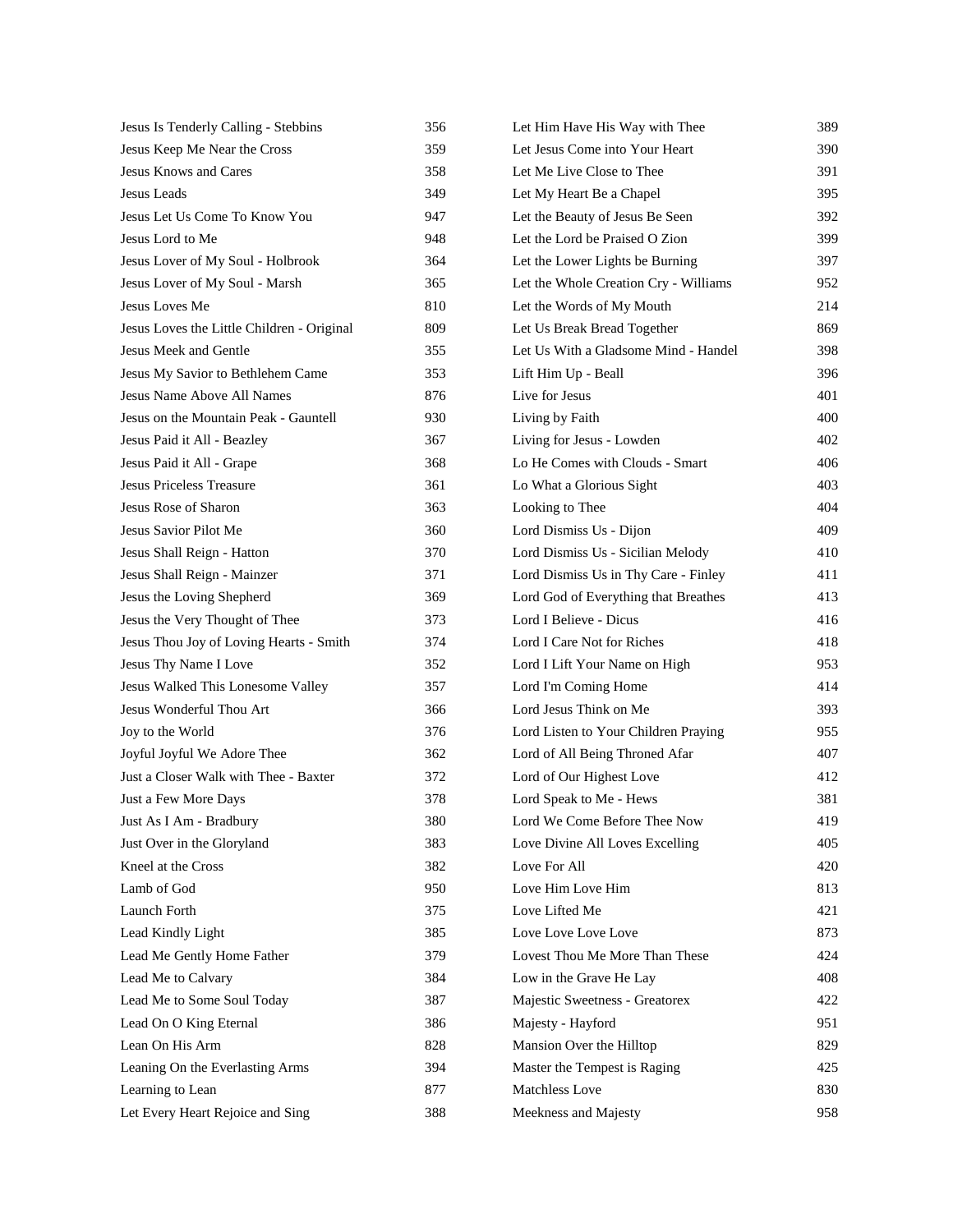| Jesus Is Tenderly Calling - Stebbins       | 356 | Let Him Have His Way with Thee        | 389 |
|--------------------------------------------|-----|---------------------------------------|-----|
| Jesus Keep Me Near the Cross               | 359 | Let Jesus Come into Your Heart        | 390 |
| <b>Jesus Knows and Cares</b>               | 358 | Let Me Live Close to Thee             | 391 |
| Jesus Leads                                | 349 | Let My Heart Be a Chapel              | 395 |
| Jesus Let Us Come To Know You              | 947 | Let the Beauty of Jesus Be Seen       | 392 |
| Jesus Lord to Me                           | 948 | Let the Lord be Praised O Zion        | 399 |
| Jesus Lover of My Soul - Holbrook          | 364 | Let the Lower Lights be Burning       | 397 |
| Jesus Lover of My Soul - Marsh             | 365 | Let the Whole Creation Cry - Williams | 952 |
| Jesus Loves Me                             | 810 | Let the Words of My Mouth             | 214 |
| Jesus Loves the Little Children - Original | 809 | Let Us Break Bread Together           | 869 |
| Jesus Meek and Gentle                      | 355 | Let Us With a Gladsome Mind - Handel  | 398 |
| Jesus My Savior to Bethlehem Came          | 353 | Lift Him Up - Beall                   | 396 |
| Jesus Name Above All Names                 | 876 | Live for Jesus                        | 401 |
| Jesus on the Mountain Peak - Gauntell      | 930 | Living by Faith                       | 400 |
| Jesus Paid it All - Beazley                | 367 | Living for Jesus - Lowden             | 402 |
| Jesus Paid it All - Grape                  | 368 | Lo He Comes with Clouds - Smart       | 406 |
| <b>Jesus Priceless Treasure</b>            | 361 | Lo What a Glorious Sight              | 403 |
| Jesus Rose of Sharon                       | 363 | Looking to Thee                       | 404 |
| Jesus Savior Pilot Me                      | 360 | Lord Dismiss Us - Dijon               | 409 |
| Jesus Shall Reign - Hatton                 | 370 | Lord Dismiss Us - Sicilian Melody     | 410 |
| Jesus Shall Reign - Mainzer                | 371 | Lord Dismiss Us in Thy Care - Finley  | 411 |
| Jesus the Loving Shepherd                  | 369 | Lord God of Everything that Breathes  | 413 |
| Jesus the Very Thought of Thee             | 373 | Lord I Believe - Dicus                | 416 |
| Jesus Thou Joy of Loving Hearts - Smith    | 374 | Lord I Care Not for Riches            | 418 |
| Jesus Thy Name I Love                      | 352 | Lord I Lift Your Name on High         | 953 |
| Jesus Walked This Lonesome Valley          | 357 | Lord I'm Coming Home                  | 414 |
| Jesus Wonderful Thou Art                   | 366 | Lord Jesus Think on Me                | 393 |
| Joy to the World                           | 376 | Lord Listen to Your Children Praying  | 955 |
| Joyful Joyful We Adore Thee                | 362 | Lord of All Being Throned Afar        | 407 |
| Just a Closer Walk with Thee - Baxter      | 372 | Lord of Our Highest Love              | 412 |
| Just a Few More Days                       | 378 | Lord Speak to Me - Hews               | 381 |
| Just As I Am - Bradbury                    | 380 | Lord We Come Before Thee Now          | 419 |
| Just Over in the Gloryland                 | 383 | Love Divine All Loves Excelling       | 405 |
| Kneel at the Cross                         | 382 | Love For All                          | 420 |
| Lamb of God                                | 950 | Love Him Love Him                     | 813 |
| Launch Forth                               | 375 | Love Lifted Me                        | 421 |
| Lead Kindly Light                          | 385 | Love Love Love Love                   | 873 |
| Lead Me Gently Home Father                 | 379 | Lovest Thou Me More Than These        | 424 |
| Lead Me to Calvary                         | 384 | Low in the Grave He Lay               | 408 |
| Lead Me to Some Soul Today                 | 387 | Majestic Sweetness - Greatorex        | 422 |
| Lead On O King Eternal                     | 386 | Majesty - Hayford                     | 951 |
| Lean On His Arm                            | 828 | Mansion Over the Hilltop              | 829 |
| Leaning On the Everlasting Arms            | 394 | Master the Tempest is Raging          | 425 |
| Learning to Lean                           | 877 | Matchless Love                        | 830 |
| Let Every Heart Rejoice and Sing           | 388 | Meekness and Majesty                  | 958 |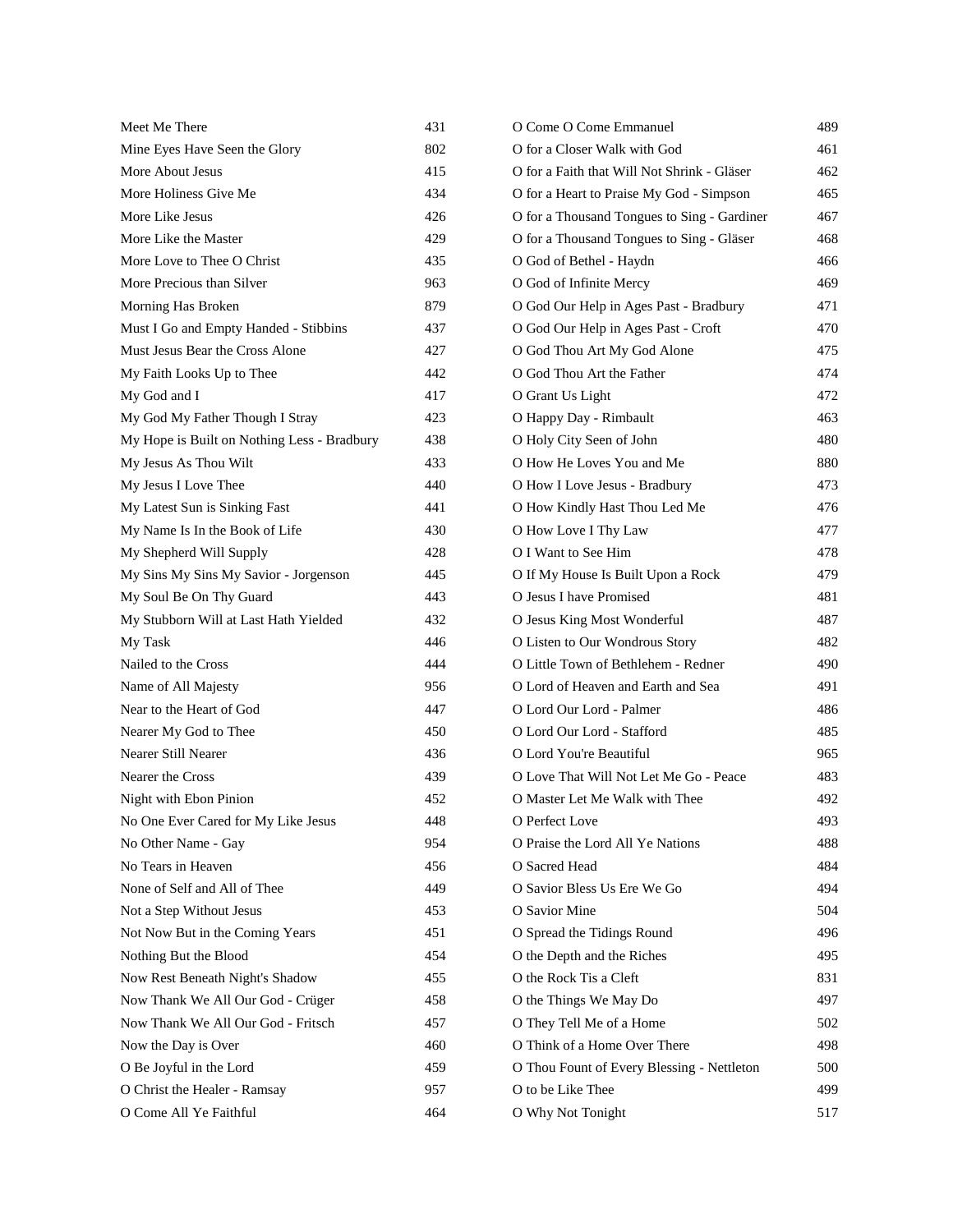| Meet Me There                               | 431 | O Come O Come Emmanuel                      | 489 |
|---------------------------------------------|-----|---------------------------------------------|-----|
| Mine Eyes Have Seen the Glory               | 802 | O for a Closer Walk with God                | 461 |
| More About Jesus                            | 415 | O for a Faith that Will Not Shrink - Gläser | 462 |
| More Holiness Give Me                       | 434 | O for a Heart to Praise My God - Simpson    | 465 |
| More Like Jesus                             | 426 | O for a Thousand Tongues to Sing - Gardiner | 467 |
| More Like the Master                        | 429 | O for a Thousand Tongues to Sing - Gläser   | 468 |
| More Love to Thee O Christ                  | 435 | O God of Bethel - Haydn                     | 466 |
| More Precious than Silver                   | 963 | O God of Infinite Mercy                     | 469 |
| Morning Has Broken                          | 879 | O God Our Help in Ages Past - Bradbury      | 471 |
| Must I Go and Empty Handed - Stibbins       | 437 | O God Our Help in Ages Past - Croft         | 470 |
| Must Jesus Bear the Cross Alone             | 427 | O God Thou Art My God Alone                 | 475 |
| My Faith Looks Up to Thee                   | 442 | O God Thou Art the Father                   | 474 |
| My God and I                                | 417 | O Grant Us Light                            | 472 |
| My God My Father Though I Stray             | 423 | O Happy Day - Rimbault                      | 463 |
| My Hope is Built on Nothing Less - Bradbury | 438 | O Holy City Seen of John                    | 480 |
| My Jesus As Thou Wilt                       | 433 | O How He Loves You and Me                   | 880 |
| My Jesus I Love Thee                        | 440 | O How I Love Jesus - Bradbury               | 473 |
| My Latest Sun is Sinking Fast               | 441 | O How Kindly Hast Thou Led Me               | 476 |
| My Name Is In the Book of Life              | 430 | O How Love I Thy Law                        | 477 |
| My Shepherd Will Supply                     | 428 | O I Want to See Him                         | 478 |
| My Sins My Sins My Savior - Jorgenson       | 445 | O If My House Is Built Upon a Rock          | 479 |
| My Soul Be On Thy Guard                     | 443 | O Jesus I have Promised                     | 481 |
| My Stubborn Will at Last Hath Yielded       | 432 | O Jesus King Most Wonderful                 | 487 |
| My Task                                     | 446 | O Listen to Our Wondrous Story              | 482 |
| Nailed to the Cross                         | 444 | O Little Town of Bethlehem - Redner         | 490 |
| Name of All Majesty                         | 956 | O Lord of Heaven and Earth and Sea          | 491 |
| Near to the Heart of God                    | 447 | O Lord Our Lord - Palmer                    | 486 |
| Nearer My God to Thee                       | 450 | O Lord Our Lord - Stafford                  | 485 |
| Nearer Still Nearer                         | 436 | O Lord You're Beautiful                     | 965 |
| Nearer the Cross                            | 439 | O Love That Will Not Let Me Go - Peace      | 483 |
| Night with Ebon Pinion                      | 452 | O Master Let Me Walk with Thee              | 492 |
| No One Ever Cared for My Like Jesus         | 448 | O Perfect Love                              | 493 |
| No Other Name - Gay                         | 954 | O Praise the Lord All Ye Nations            | 488 |
| No Tears in Heaven                          | 456 | O Sacred Head                               | 484 |
| None of Self and All of Thee                | 449 | O Savior Bless Us Ere We Go                 | 494 |
| Not a Step Without Jesus                    | 453 | O Savior Mine                               | 504 |
| Not Now But in the Coming Years             | 451 | O Spread the Tidings Round                  | 496 |
| Nothing But the Blood                       | 454 | O the Depth and the Riches                  | 495 |
| Now Rest Beneath Night's Shadow             | 455 | O the Rock Tis a Cleft                      | 831 |
| Now Thank We All Our God - Crüger           | 458 | O the Things We May Do                      | 497 |
| Now Thank We All Our God - Fritsch          | 457 | O They Tell Me of a Home                    | 502 |
| Now the Day is Over                         | 460 | O Think of a Home Over There                | 498 |
| O Be Joyful in the Lord                     | 459 | O Thou Fount of Every Blessing - Nettleton  | 500 |
| O Christ the Healer - Ramsay                | 957 | O to be Like Thee                           | 499 |
| O Come All Ye Faithful                      | 464 | O Why Not Tonight                           | 517 |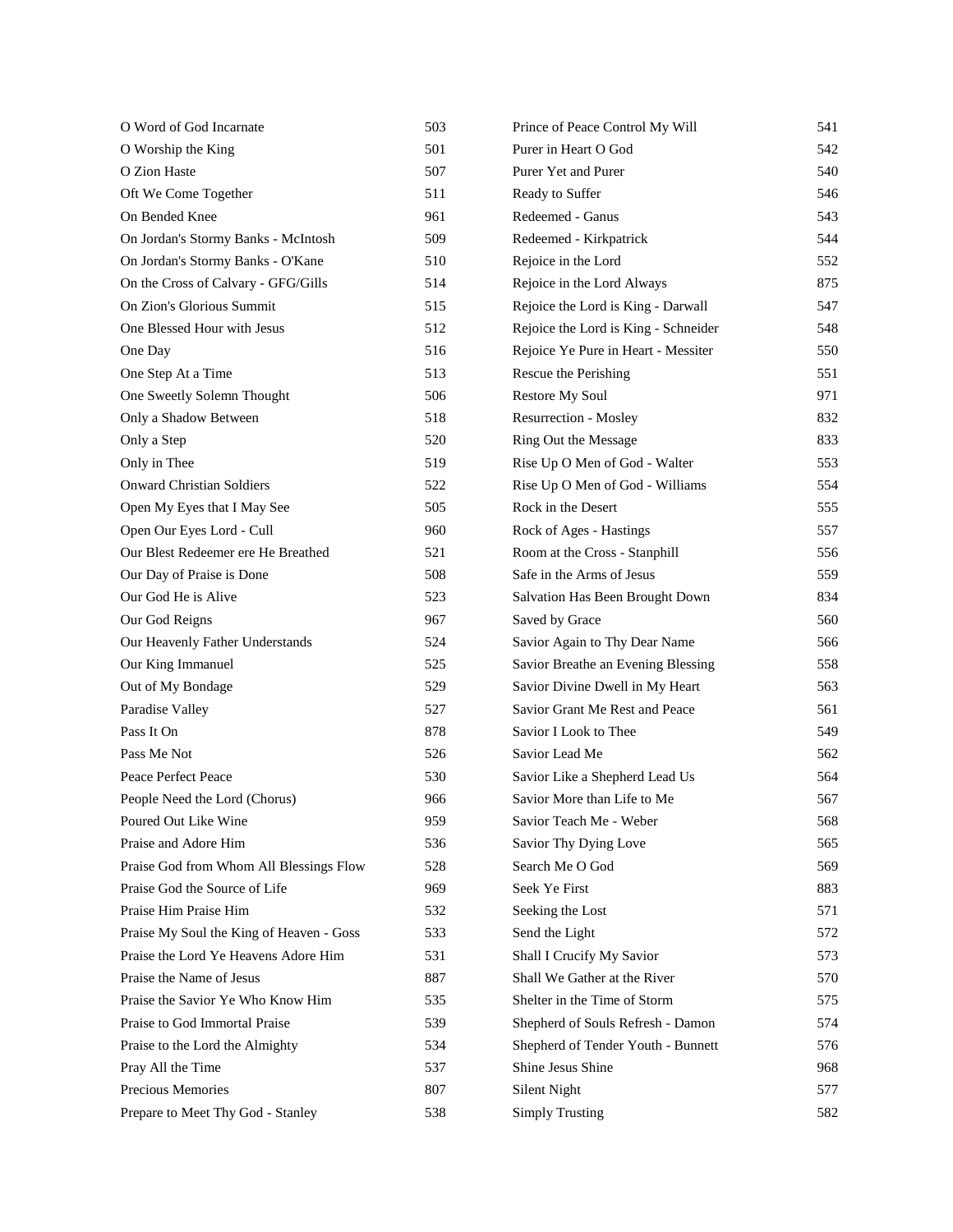| O Word of God Incarnate                  | 503 | Prince of Peace Control My Will      | 541 |
|------------------------------------------|-----|--------------------------------------|-----|
| O Worship the King                       | 501 | Purer in Heart O God                 | 542 |
| O Zion Haste                             | 507 | Purer Yet and Purer                  | 540 |
| Oft We Come Together                     | 511 | Ready to Suffer                      | 546 |
| On Bended Knee                           | 961 | Redeemed - Ganus                     | 543 |
| On Jordan's Stormy Banks - McIntosh      | 509 | Redeemed - Kirkpatrick               | 544 |
| On Jordan's Stormy Banks - O'Kane        | 510 | Rejoice in the Lord                  | 552 |
| On the Cross of Calvary - GFG/Gills      | 514 | Rejoice in the Lord Always           | 875 |
| On Zion's Glorious Summit                | 515 | Rejoice the Lord is King - Darwall   | 547 |
| One Blessed Hour with Jesus              | 512 | Rejoice the Lord is King - Schneider | 548 |
| One Day                                  | 516 | Rejoice Ye Pure in Heart - Messiter  | 550 |
| One Step At a Time                       | 513 | Rescue the Perishing                 | 551 |
| One Sweetly Solemn Thought               | 506 | <b>Restore My Soul</b>               | 971 |
| Only a Shadow Between                    | 518 | Resurrection - Mosley                | 832 |
| Only a Step                              | 520 | Ring Out the Message                 | 833 |
| Only in Thee                             | 519 | Rise Up O Men of God - Walter        | 553 |
| <b>Onward Christian Soldiers</b>         | 522 | Rise Up O Men of God - Williams      | 554 |
| Open My Eyes that I May See              | 505 | Rock in the Desert                   | 555 |
| Open Our Eyes Lord - Cull                | 960 | Rock of Ages - Hastings              | 557 |
| Our Blest Redeemer ere He Breathed       | 521 | Room at the Cross - Stanphill        | 556 |
| Our Day of Praise is Done                | 508 | Safe in the Arms of Jesus            | 559 |
| Our God He is Alive                      | 523 | Salvation Has Been Brought Down      | 834 |
| Our God Reigns                           | 967 | Saved by Grace                       | 560 |
| Our Heavenly Father Understands          | 524 | Savior Again to Thy Dear Name        | 566 |
| Our King Immanuel                        | 525 | Savior Breathe an Evening Blessing   | 558 |
| Out of My Bondage                        | 529 | Savior Divine Dwell in My Heart      | 563 |
| Paradise Valley                          | 527 | Savior Grant Me Rest and Peace       | 561 |
| Pass It On                               | 878 | Savior I Look to Thee                | 549 |
| Pass Me Not                              | 526 | Savior Lead Me                       | 562 |
| Peace Perfect Peace                      | 530 | Savior Like a Shepherd Lead Us       | 564 |
| People Need the Lord (Chorus)            | 966 | Savior More than Life to Me          | 567 |
| Poured Out Like Wine                     | 959 | Savior Teach Me - Weber              | 568 |
| Praise and Adore Him                     | 536 | Savior Thy Dying Love                | 565 |
| Praise God from Whom All Blessings Flow  | 528 | Search Me O God                      | 569 |
| Praise God the Source of Life            | 969 | Seek Ye First                        | 883 |
| Praise Him Praise Him                    | 532 | Seeking the Lost                     | 571 |
| Praise My Soul the King of Heaven - Goss | 533 | Send the Light                       | 572 |
| Praise the Lord Ye Heavens Adore Him     | 531 | Shall I Crucify My Savior            | 573 |
| Praise the Name of Jesus                 | 887 | Shall We Gather at the River         | 570 |
| Praise the Savior Ye Who Know Him        | 535 | Shelter in the Time of Storm         | 575 |
| Praise to God Immortal Praise            | 539 | Shepherd of Souls Refresh - Damon    | 574 |
| Praise to the Lord the Almighty          | 534 | Shepherd of Tender Youth - Bunnett   | 576 |
| Pray All the Time                        | 537 | Shine Jesus Shine                    | 968 |
| Precious Memories                        | 807 | Silent Night                         | 577 |
| Prepare to Meet Thy God - Stanley        | 538 | <b>Simply Trusting</b>               | 582 |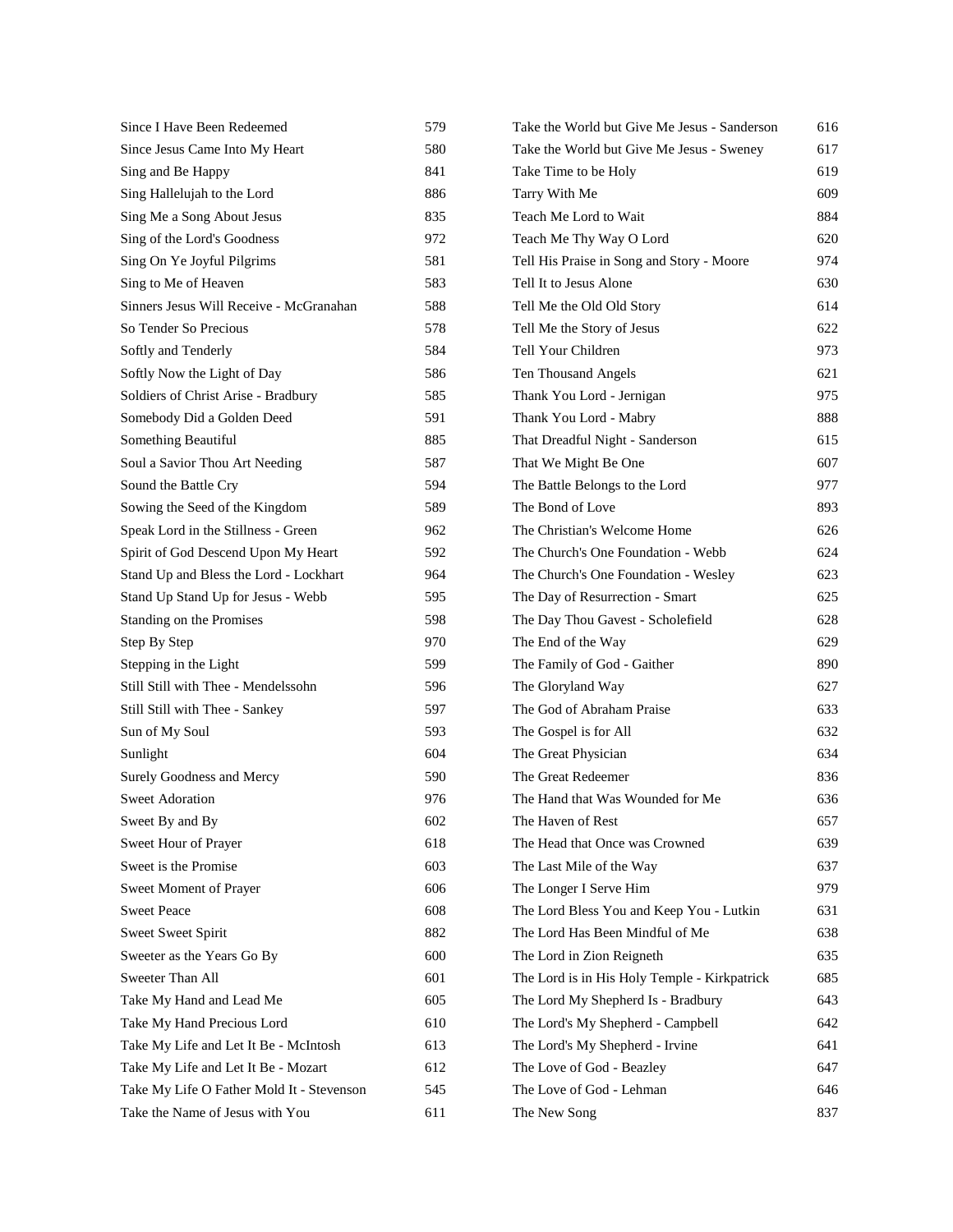| Since I Have Been Redeemed                | 579 | Take the World but Give Me Jesus - Sanderson | 616 |
|-------------------------------------------|-----|----------------------------------------------|-----|
| Since Jesus Came Into My Heart            | 580 | Take the World but Give Me Jesus - Sweney    | 617 |
| Sing and Be Happy                         | 841 | Take Time to be Holy                         | 619 |
| Sing Hallelujah to the Lord               | 886 | Tarry With Me                                | 609 |
| Sing Me a Song About Jesus                | 835 | Teach Me Lord to Wait                        | 884 |
| Sing of the Lord's Goodness               | 972 | Teach Me Thy Way O Lord                      | 620 |
| Sing On Ye Joyful Pilgrims                | 581 | Tell His Praise in Song and Story - Moore    | 974 |
| Sing to Me of Heaven                      | 583 | Tell It to Jesus Alone                       | 630 |
| Sinners Jesus Will Receive - McGranahan   | 588 | Tell Me the Old Old Story                    | 614 |
| So Tender So Precious                     | 578 | Tell Me the Story of Jesus                   | 622 |
| Softly and Tenderly                       | 584 | Tell Your Children                           | 973 |
| Softly Now the Light of Day               | 586 | Ten Thousand Angels                          | 621 |
| Soldiers of Christ Arise - Bradbury       | 585 | Thank You Lord - Jernigan                    | 975 |
| Somebody Did a Golden Deed                | 591 | Thank You Lord - Mabry                       | 888 |
| Something Beautiful                       | 885 | That Dreadful Night - Sanderson              | 615 |
| Soul a Savior Thou Art Needing            | 587 | That We Might Be One                         | 607 |
| Sound the Battle Cry                      | 594 | The Battle Belongs to the Lord               | 977 |
| Sowing the Seed of the Kingdom            | 589 | The Bond of Love                             | 893 |
| Speak Lord in the Stillness - Green       | 962 | The Christian's Welcome Home                 | 626 |
| Spirit of God Descend Upon My Heart       | 592 | The Church's One Foundation - Webb           | 624 |
| Stand Up and Bless the Lord - Lockhart    | 964 | The Church's One Foundation - Wesley         | 623 |
| Stand Up Stand Up for Jesus - Webb        | 595 | The Day of Resurrection - Smart              | 625 |
| Standing on the Promises                  | 598 | The Day Thou Gavest - Scholefield            | 628 |
| Step By Step                              | 970 | The End of the Way                           | 629 |
| Stepping in the Light                     | 599 | The Family of God - Gaither                  | 890 |
| Still Still with Thee - Mendelssohn       | 596 | The Gloryland Way                            | 627 |
| Still Still with Thee - Sankey            | 597 | The God of Abraham Praise                    | 633 |
| Sun of My Soul                            | 593 | The Gospel is for All                        | 632 |
| Sunlight                                  | 604 | The Great Physician                          | 634 |
| Surely Goodness and Mercy                 | 590 | The Great Redeemer                           | 836 |
| <b>Sweet Adoration</b>                    | 976 | The Hand that Was Wounded for Me             | 636 |
| Sweet By and By                           | 602 | The Haven of Rest                            | 657 |
| Sweet Hour of Prayer                      | 618 | The Head that Once was Crowned               | 639 |
| Sweet is the Promise                      | 603 | The Last Mile of the Way                     | 637 |
| Sweet Moment of Prayer                    | 606 | The Longer I Serve Him                       | 979 |
| <b>Sweet Peace</b>                        | 608 | The Lord Bless You and Keep You - Lutkin     | 631 |
| Sweet Sweet Spirit                        | 882 | The Lord Has Been Mindful of Me              | 638 |
| Sweeter as the Years Go By                | 600 | The Lord in Zion Reigneth                    | 635 |
| Sweeter Than All                          | 601 | The Lord is in His Holy Temple - Kirkpatrick | 685 |
| Take My Hand and Lead Me                  | 605 | The Lord My Shepherd Is - Bradbury           | 643 |
| Take My Hand Precious Lord                | 610 | The Lord's My Shepherd - Campbell            | 642 |
| Take My Life and Let It Be - McIntosh     | 613 | The Lord's My Shepherd - Irvine              | 641 |
| Take My Life and Let It Be - Mozart       | 612 | The Love of God - Beazley                    | 647 |
| Take My Life O Father Mold It - Stevenson | 545 | The Love of God - Lehman                     | 646 |
| Take the Name of Jesus with You           | 611 | The New Song                                 | 837 |
|                                           |     |                                              |     |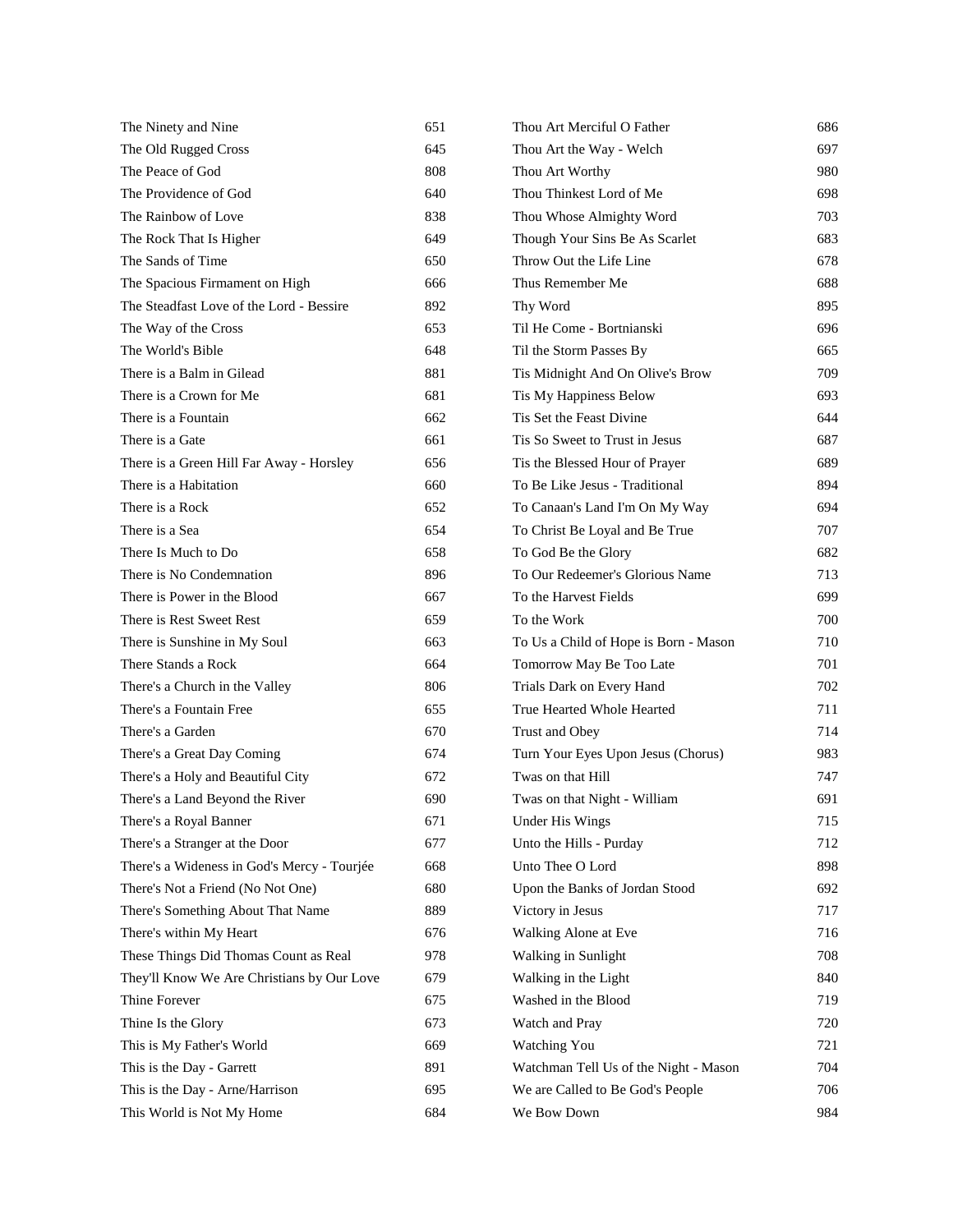| The Ninety and Nine                         | 651 | Thou Art Merciful O Father            | 686 |
|---------------------------------------------|-----|---------------------------------------|-----|
| The Old Rugged Cross                        | 645 | Thou Art the Way - Welch              | 697 |
| The Peace of God                            | 808 | Thou Art Worthy                       | 980 |
| The Providence of God                       | 640 | Thou Thinkest Lord of Me              | 698 |
| The Rainbow of Love                         | 838 | Thou Whose Almighty Word              | 703 |
| The Rock That Is Higher                     | 649 | Though Your Sins Be As Scarlet        | 683 |
| The Sands of Time                           | 650 | Throw Out the Life Line               | 678 |
| The Spacious Firmament on High              | 666 | Thus Remember Me                      | 688 |
| The Steadfast Love of the Lord - Bessire    | 892 | Thy Word                              | 895 |
| The Way of the Cross                        | 653 | Til He Come - Bortnianski             | 696 |
| The World's Bible                           | 648 | Til the Storm Passes By               | 665 |
| There is a Balm in Gilead                   | 881 | Tis Midnight And On Olive's Brow      | 709 |
| There is a Crown for Me                     | 681 | Tis My Happiness Below                | 693 |
| There is a Fountain                         | 662 | Tis Set the Feast Divine              | 644 |
| There is a Gate                             | 661 | Tis So Sweet to Trust in Jesus        | 687 |
| There is a Green Hill Far Away - Horsley    | 656 | Tis the Blessed Hour of Prayer        | 689 |
| There is a Habitation                       | 660 | To Be Like Jesus - Traditional        | 894 |
| There is a Rock                             | 652 | To Canaan's Land I'm On My Way        | 694 |
| There is a Sea                              | 654 | To Christ Be Loyal and Be True        | 707 |
| There Is Much to Do                         | 658 | To God Be the Glory                   | 682 |
| There is No Condemnation                    | 896 | To Our Redeemer's Glorious Name       | 713 |
| There is Power in the Blood                 | 667 | To the Harvest Fields                 | 699 |
| There is Rest Sweet Rest                    | 659 | To the Work                           | 700 |
| There is Sunshine in My Soul                | 663 | To Us a Child of Hope is Born - Mason | 710 |
| There Stands a Rock                         | 664 | Tomorrow May Be Too Late              | 701 |
| There's a Church in the Valley              | 806 | Trials Dark on Every Hand             | 702 |
| There's a Fountain Free                     | 655 | True Hearted Whole Hearted            | 711 |
| There's a Garden                            | 670 | Trust and Obey                        | 714 |
| There's a Great Day Coming                  | 674 | Turn Your Eyes Upon Jesus (Chorus)    | 983 |
| There's a Holy and Beautiful City           | 672 | Twas on that Hill                     | 747 |
| There's a Land Beyond the River             | 690 | Twas on that Night - William          | 691 |
| There's a Royal Banner                      | 671 | Under His Wings                       | 715 |
| There's a Stranger at the Door              | 677 | Unto the Hills - Purday               | 712 |
| There's a Wideness in God's Mercy - Tourjée | 668 | Unto Thee O Lord                      | 898 |
| There's Not a Friend (No Not One)           | 680 | Upon the Banks of Jordan Stood        | 692 |
| There's Something About That Name           | 889 | Victory in Jesus                      | 717 |
| There's within My Heart                     | 676 | Walking Alone at Eve                  | 716 |
| These Things Did Thomas Count as Real       | 978 | Walking in Sunlight                   | 708 |
| They'll Know We Are Christians by Our Love  | 679 | Walking in the Light                  | 840 |
| Thine Forever                               | 675 | Washed in the Blood                   | 719 |
| Thine Is the Glory                          | 673 | Watch and Pray                        | 720 |
| This is My Father's World                   | 669 | Watching You                          | 721 |
| This is the Day - Garrett                   | 891 | Watchman Tell Us of the Night - Mason | 704 |
| This is the Day - Arne/Harrison             | 695 | We are Called to Be God's People      | 706 |
| This World is Not My Home                   | 684 | We Bow Down                           | 984 |
|                                             |     |                                       |     |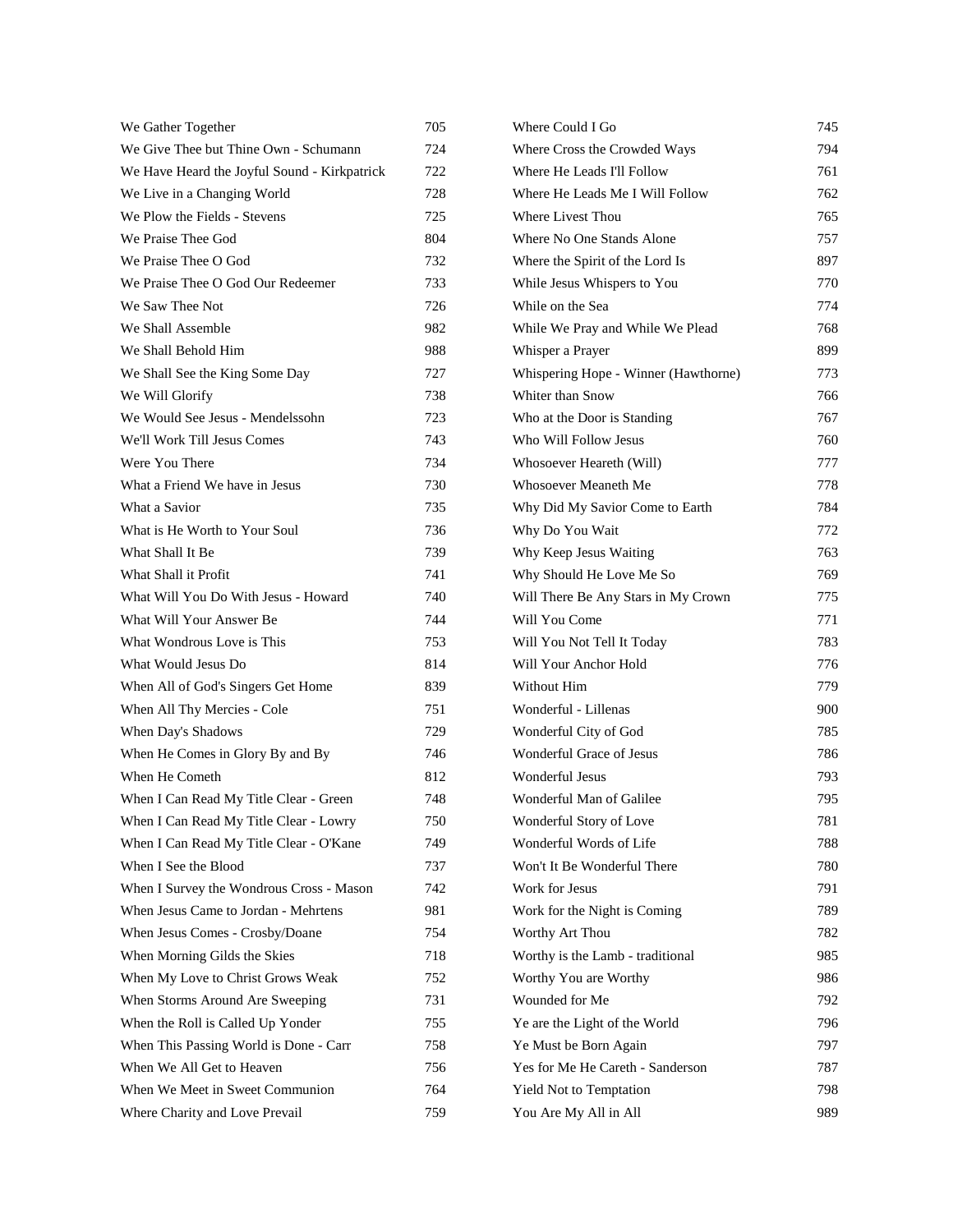| We Gather Together                           | 705 | Where Could I Go                     | 745 |
|----------------------------------------------|-----|--------------------------------------|-----|
| We Give Thee but Thine Own - Schumann        | 724 | Where Cross the Crowded Ways         | 794 |
| We Have Heard the Joyful Sound - Kirkpatrick | 722 | Where He Leads I'll Follow           | 761 |
| We Live in a Changing World                  | 728 | Where He Leads Me I Will Follow      | 762 |
| We Plow the Fields - Stevens                 | 725 | Where Livest Thou                    | 765 |
| We Praise Thee God                           | 804 | Where No One Stands Alone            | 757 |
| We Praise Thee O God                         | 732 | Where the Spirit of the Lord Is      | 897 |
| We Praise Thee O God Our Redeemer            | 733 | While Jesus Whispers to You          | 770 |
| We Saw Thee Not                              | 726 | While on the Sea                     | 774 |
| We Shall Assemble                            | 982 | While We Pray and While We Plead     | 768 |
| We Shall Behold Him                          | 988 | Whisper a Prayer                     | 899 |
| We Shall See the King Some Day               | 727 | Whispering Hope - Winner (Hawthorne) | 773 |
| We Will Glorify                              | 738 | Whiter than Snow                     | 766 |
| We Would See Jesus - Mendelssohn             | 723 | Who at the Door is Standing          | 767 |
| We'll Work Till Jesus Comes                  | 743 | Who Will Follow Jesus                | 760 |
| Were You There                               | 734 | Whosoever Heareth (Will)             | 777 |
| What a Friend We have in Jesus               | 730 | <b>Whosoever Meaneth Me</b>          | 778 |
| What a Savior                                | 735 | Why Did My Savior Come to Earth      | 784 |
| What is He Worth to Your Soul                | 736 | Why Do You Wait                      | 772 |
| What Shall It Be                             | 739 | Why Keep Jesus Waiting               | 763 |
| What Shall it Profit                         | 741 | Why Should He Love Me So             | 769 |
| What Will You Do With Jesus - Howard         | 740 | Will There Be Any Stars in My Crown  | 775 |
| What Will Your Answer Be                     | 744 | Will You Come                        | 771 |
| What Wondrous Love is This                   | 753 | Will You Not Tell It Today           | 783 |
| What Would Jesus Do                          | 814 | Will Your Anchor Hold                | 776 |
| When All of God's Singers Get Home           | 839 | Without Him                          | 779 |
| When All Thy Mercies - Cole                  | 751 | Wonderful - Lillenas                 | 900 |
| When Day's Shadows                           | 729 | Wonderful City of God                | 785 |
| When He Comes in Glory By and By             | 746 | Wonderful Grace of Jesus             | 786 |
| When He Cometh                               | 812 | Wonderful Jesus                      | 793 |
| When I Can Read My Title Clear - Green       | 748 | Wonderful Man of Galilee             | 795 |
| When I Can Read My Title Clear - Lowry       | 750 | Wonderful Story of Love              | 781 |
| When I Can Read My Title Clear - O'Kane      | 749 | Wonderful Words of Life              | 788 |
| When I See the Blood                         | 737 | Won't It Be Wonderful There          | 780 |
| When I Survey the Wondrous Cross - Mason     | 742 | Work for Jesus                       | 791 |
| When Jesus Came to Jordan - Mehrtens         | 981 | Work for the Night is Coming         | 789 |
| When Jesus Comes - Crosby/Doane              | 754 | Worthy Art Thou                      | 782 |
| When Morning Gilds the Skies                 | 718 | Worthy is the Lamb - traditional     | 985 |
| When My Love to Christ Grows Weak            | 752 | Worthy You are Worthy                | 986 |
| When Storms Around Are Sweeping              | 731 | Wounded for Me                       | 792 |
| When the Roll is Called Up Yonder            | 755 | Ye are the Light of the World        | 796 |
| When This Passing World is Done - Carr       | 758 | Ye Must be Born Again                | 797 |
| When We All Get to Heaven                    | 756 | Yes for Me He Careth - Sanderson     | 787 |
| When We Meet in Sweet Communion              | 764 | Yield Not to Temptation              | 798 |
| Where Charity and Love Prevail               | 759 | You Are My All in All                | 989 |